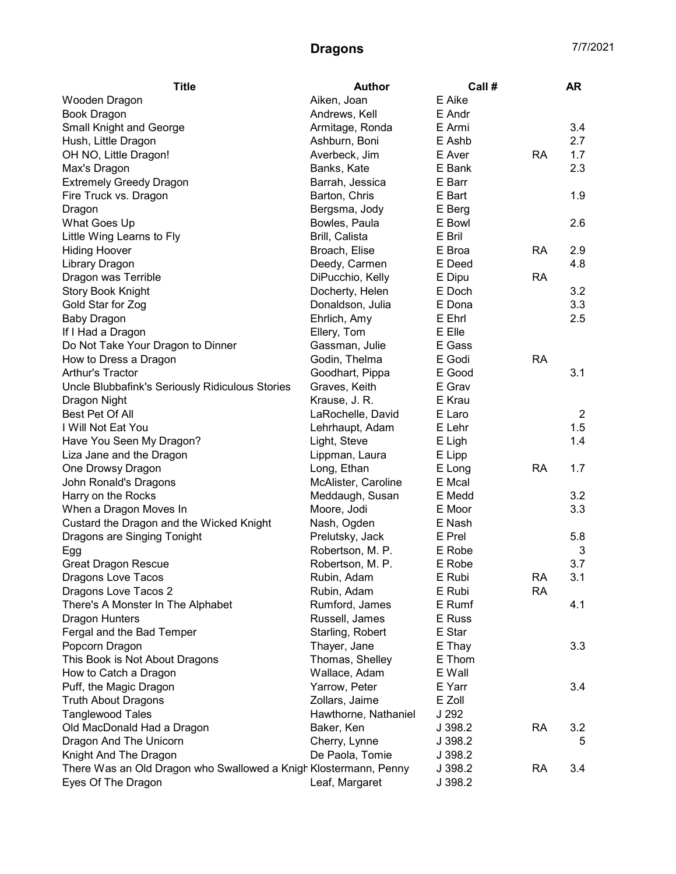| <b>Title</b>                                                     | <b>Author</b>        | Call #  |           | AR             |
|------------------------------------------------------------------|----------------------|---------|-----------|----------------|
| Wooden Dragon                                                    | Aiken, Joan          | E Aike  |           |                |
| <b>Book Dragon</b>                                               | Andrews, Kell        | E Andr  |           |                |
| Small Knight and George                                          | Armitage, Ronda      | E Armi  |           | 3.4            |
| Hush, Little Dragon                                              | Ashburn, Boni        | E Ashb  |           | 2.7            |
| OH NO, Little Dragon!                                            | Averbeck, Jim        | E Aver  | <b>RA</b> | 1.7            |
| Max's Dragon                                                     | Banks, Kate          | E Bank  |           | 2.3            |
| <b>Extremely Greedy Dragon</b>                                   | Barrah, Jessica      | E Barr  |           |                |
| Fire Truck vs. Dragon                                            | Barton, Chris        | E Bart  |           | 1.9            |
| Dragon                                                           | Bergsma, Jody        | E Berg  |           |                |
| What Goes Up                                                     | Bowles, Paula        | E Bowl  |           | 2.6            |
| Little Wing Learns to Fly                                        | Brill, Calista       | E Bril  |           |                |
| <b>Hiding Hoover</b>                                             | Broach, Elise        | E Broa  | <b>RA</b> | 2.9            |
| Library Dragon                                                   | Deedy, Carmen        | E Deed  |           | 4.8            |
| Dragon was Terrible                                              | DiPucchio, Kelly     | E Dipu  | <b>RA</b> |                |
| <b>Story Book Knight</b>                                         | Docherty, Helen      | E Doch  |           | 3.2            |
| Gold Star for Zog                                                | Donaldson, Julia     | E Dona  |           | 3.3            |
| <b>Baby Dragon</b>                                               | Ehrlich, Amy         | E Ehrl  |           | 2.5            |
| If I Had a Dragon                                                | Ellery, Tom          | E Elle  |           |                |
| Do Not Take Your Dragon to Dinner                                | Gassman, Julie       | E Gass  |           |                |
| How to Dress a Dragon                                            | Godin, Thelma        | E Godi  | <b>RA</b> |                |
| Arthur's Tractor                                                 | Goodhart, Pippa      | E Good  |           | 3.1            |
| Uncle Blubbafink's Seriously Ridiculous Stories                  | Graves, Keith        | E Grav  |           |                |
| Dragon Night                                                     | Krause, J. R.        | E Krau  |           |                |
| Best Pet Of All                                                  | LaRochelle, David    | E Laro  |           | $\overline{2}$ |
| I Will Not Eat You                                               | Lehrhaupt, Adam      | E Lehr  |           | 1.5            |
| Have You Seen My Dragon?                                         | Light, Steve         | E Ligh  |           | 1.4            |
| Liza Jane and the Dragon                                         | Lippman, Laura       | E Lipp  |           |                |
| One Drowsy Dragon                                                | Long, Ethan          | E Long  | <b>RA</b> | 1.7            |
| John Ronald's Dragons                                            | McAlister, Caroline  | E Mcal  |           |                |
| Harry on the Rocks                                               | Meddaugh, Susan      | E Medd  |           | 3.2            |
| When a Dragon Moves In                                           | Moore, Jodi          | E Moor  |           | 3.3            |
| Custard the Dragon and the Wicked Knight                         | Nash, Ogden          | E Nash  |           |                |
| Dragons are Singing Tonight                                      | Prelutsky, Jack      | E Prel  |           | 5.8            |
| Egg                                                              | Robertson, M. P.     | E Robe  |           | 3              |
| <b>Great Dragon Rescue</b>                                       | Robertson, M. P.     | E Robe  |           | 3.7            |
| Dragons Love Tacos                                               | Rubin, Adam          | E Rubi  | <b>RA</b> | 3.1            |
| Dragons Love Tacos 2                                             | Rubin, Adam          | E Rubi  | <b>RA</b> |                |
| There's A Monster In The Alphabet                                | Rumford, James       | E Rumf  |           | 4.1            |
| <b>Dragon Hunters</b>                                            | Russell, James       | E Russ  |           |                |
| Fergal and the Bad Temper                                        | Starling, Robert     | E Star  |           |                |
| Popcorn Dragon                                                   | Thayer, Jane         | E Thay  |           | 3.3            |
| This Book is Not About Dragons                                   | Thomas, Shelley      | E Thom  |           |                |
| How to Catch a Dragon                                            | Wallace, Adam        | E Wall  |           |                |
| Puff, the Magic Dragon                                           | Yarrow, Peter        | E Yarr  |           | 3.4            |
| <b>Truth About Dragons</b>                                       | Zollars, Jaime       | E Zoll  |           |                |
| <b>Tanglewood Tales</b>                                          | Hawthorne, Nathaniel | J 292   |           |                |
| Old MacDonald Had a Dragon                                       | Baker, Ken           | J 398.2 | <b>RA</b> | 3.2            |
| Dragon And The Unicorn                                           | Cherry, Lynne        | J 398.2 |           | 5              |
| Knight And The Dragon                                            | De Paola, Tomie      | J 398.2 |           |                |
| There Was an Old Dragon who Swallowed a Knigh Klostermann, Penny |                      | J 398.2 | <b>RA</b> | 3.4            |
| Eyes Of The Dragon                                               | Leaf, Margaret       | J 398.2 |           |                |
|                                                                  |                      |         |           |                |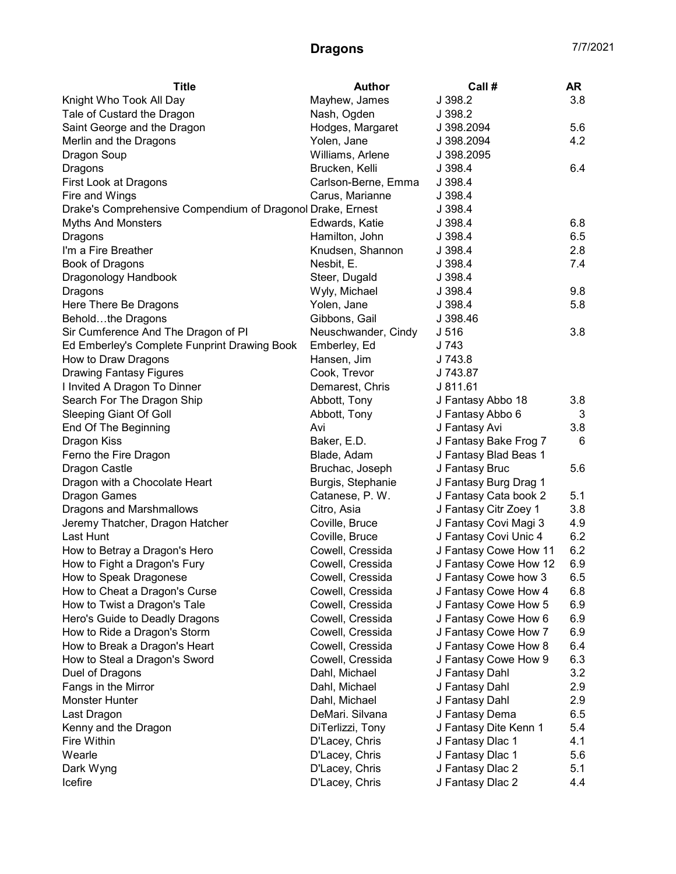| <b>Title</b>                                               | <b>Author</b>       | Call #                | AR  |
|------------------------------------------------------------|---------------------|-----------------------|-----|
| Knight Who Took All Day                                    | Mayhew, James       | J 398.2               | 3.8 |
| Tale of Custard the Dragon                                 | Nash, Ogden         | J 398.2               |     |
| Saint George and the Dragon                                | Hodges, Margaret    | J 398.2094            | 5.6 |
| Merlin and the Dragons                                     | Yolen, Jane         | J 398.2094            | 4.2 |
| Dragon Soup                                                | Williams, Arlene    | J 398.2095            |     |
| Dragons                                                    | Brucken, Kelli      | J 398.4               | 6.4 |
| First Look at Dragons                                      | Carlson-Berne, Emma | J 398.4               |     |
| Fire and Wings                                             | Carus, Marianne     | J 398.4               |     |
| Drake's Comprehensive Compendium of Dragonol Drake, Ernest |                     | J 398.4               |     |
| <b>Myths And Monsters</b>                                  | Edwards, Katie      | J 398.4               | 6.8 |
| Dragons                                                    | Hamilton, John      | J 398.4               | 6.5 |
| I'm a Fire Breather                                        | Knudsen, Shannon    | J 398.4               | 2.8 |
| Book of Dragons                                            | Nesbit, E.          | J 398.4               | 7.4 |
| Dragonology Handbook                                       | Steer, Dugald       | J 398.4               |     |
| Dragons                                                    | Wyly, Michael       | J 398.4               | 9.8 |
| Here There Be Dragons                                      | Yolen, Jane         | J 398.4               | 5.8 |
| Beholdthe Dragons                                          | Gibbons, Gail       | J 398.46              |     |
| Sir Cumference And The Dragon of PI                        | Neuschwander, Cindy | J <sub>516</sub>      | 3.8 |
| Ed Emberley's Complete Funprint Drawing Book               | Emberley, Ed        | J 743                 |     |
| How to Draw Dragons                                        | Hansen, Jim         | J 743.8               |     |
| <b>Drawing Fantasy Figures</b>                             | Cook, Trevor        | J 743.87              |     |
| I Invited A Dragon To Dinner                               | Demarest, Chris     | J 811.61              |     |
| Search For The Dragon Ship                                 | Abbott, Tony        | J Fantasy Abbo 18     | 3.8 |
| <b>Sleeping Giant Of Goll</b>                              | Abbott, Tony        | J Fantasy Abbo 6      | 3   |
| End Of The Beginning                                       | Avi                 | J Fantasy Avi         | 3.8 |
| Dragon Kiss                                                | Baker, E.D.         | J Fantasy Bake Frog 7 | 6   |
| Ferno the Fire Dragon                                      | Blade, Adam         | J Fantasy Blad Beas 1 |     |
| Dragon Castle                                              | Bruchac, Joseph     | J Fantasy Bruc        | 5.6 |
| Dragon with a Chocolate Heart                              | Burgis, Stephanie   | J Fantasy Burg Drag 1 |     |
| <b>Dragon Games</b>                                        | Catanese, P.W.      | J Fantasy Cata book 2 | 5.1 |
| Dragons and Marshmallows                                   | Citro, Asia         | J Fantasy Citr Zoey 1 | 3.8 |
| Jeremy Thatcher, Dragon Hatcher                            | Coville, Bruce      | J Fantasy Covi Magi 3 | 4.9 |
| Last Hunt                                                  | Coville, Bruce      | J Fantasy Covi Unic 4 | 6.2 |
| How to Betray a Dragon's Hero                              | Cowell, Cressida    | J Fantasy Cowe How 11 | 6.2 |
| How to Fight a Dragon's Fury                               | Cowell, Cressida    | J Fantasy Cowe How 12 | 6.9 |
| How to Speak Dragonese                                     | Cowell, Cressida    | J Fantasy Cowe how 3  | 6.5 |
| How to Cheat a Dragon's Curse                              | Cowell, Cressida    | J Fantasy Cowe How 4  | 6.8 |
| How to Twist a Dragon's Tale                               | Cowell, Cressida    | J Fantasy Cowe How 5  | 6.9 |
| Hero's Guide to Deadly Dragons                             | Cowell, Cressida    | J Fantasy Cowe How 6  | 6.9 |
| How to Ride a Dragon's Storm                               | Cowell, Cressida    | J Fantasy Cowe How 7  | 6.9 |
| How to Break a Dragon's Heart                              | Cowell, Cressida    | J Fantasy Cowe How 8  | 6.4 |
| How to Steal a Dragon's Sword                              | Cowell, Cressida    | J Fantasy Cowe How 9  | 6.3 |
| Duel of Dragons                                            | Dahl, Michael       | J Fantasy Dahl        | 3.2 |
| Fangs in the Mirror                                        | Dahl, Michael       | J Fantasy Dahl        | 2.9 |
| <b>Monster Hunter</b>                                      | Dahl, Michael       | J Fantasy Dahl        | 2.9 |
| Last Dragon                                                | DeMari. Silvana     | J Fantasy Dema        | 6.5 |
| Kenny and the Dragon                                       | DiTerlizzi, Tony    | J Fantasy Dite Kenn 1 | 5.4 |
| Fire Within                                                | D'Lacey, Chris      | J Fantasy Dlac 1      | 4.1 |
| Wearle                                                     | D'Lacey, Chris      | J Fantasy Dlac 1      | 5.6 |
| Dark Wyng                                                  | D'Lacey, Chris      | J Fantasy Dlac 2      | 5.1 |
| Icefire                                                    | D'Lacey, Chris      | J Fantasy Dlac 2      | 4.4 |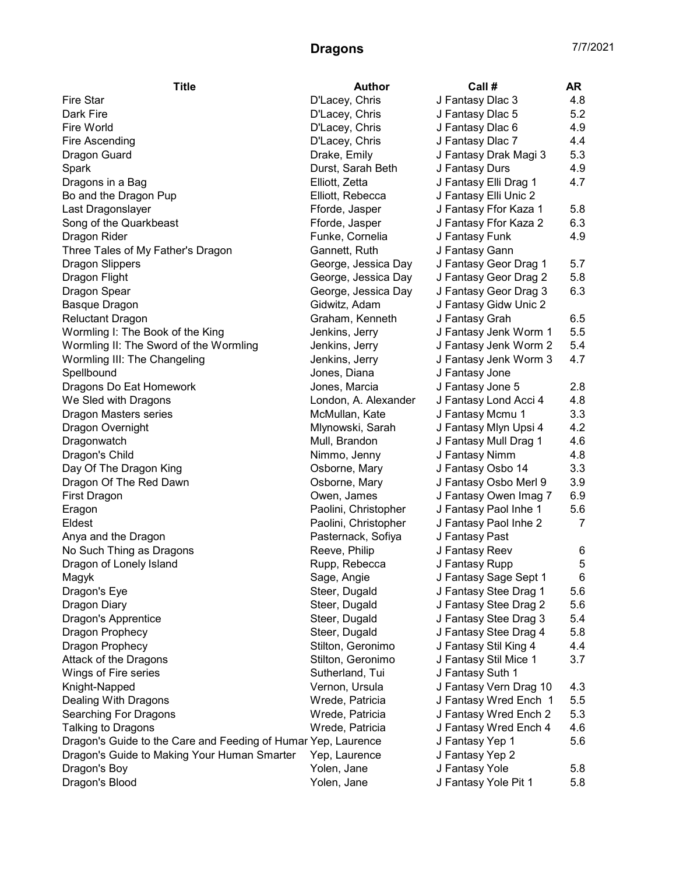| <b>Fire Star</b><br>D'Lacey, Chris<br>J Fantasy Dlac 3<br>4.8<br>5.2<br>Dark Fire<br>D'Lacey, Chris<br>J Fantasy Dlac 5<br>4.9<br>Fire World<br>D'Lacey, Chris<br>J Fantasy Dlac 6<br>J Fantasy Dlac 7<br>Fire Ascending<br>D'Lacey, Chris<br>4.4<br>J Fantasy Drak Magi 3<br>5.3<br>Dragon Guard<br>Drake, Emily<br>Durst, Sarah Beth<br>J Fantasy Durs<br>4.9<br>Spark<br>J Fantasy Elli Drag 1<br>Elliott, Zetta<br>4.7<br>Dragons in a Bag<br>J Fantasy Elli Unic 2<br>Bo and the Dragon Pup<br>Elliott, Rebecca<br>5.8<br>Last Dragonslayer<br>Fforde, Jasper<br>J Fantasy Ffor Kaza 1<br>6.3<br>Song of the Quarkbeast<br>Fforde, Jasper<br>J Fantasy Ffor Kaza 2<br>4.9<br>Funke, Cornelia<br>J Fantasy Funk<br>Dragon Rider<br>Three Tales of My Father's Dragon<br>Gannett, Ruth<br>J Fantasy Gann<br>J Fantasy Geor Drag 1<br>5.7<br><b>Dragon Slippers</b><br>George, Jessica Day<br>5.8<br>Dragon Flight<br>George, Jessica Day<br>J Fantasy Geor Drag 2<br>6.3<br>Dragon Spear<br>George, Jessica Day<br>J Fantasy Geor Drag 3<br>J Fantasy Gidw Unic 2<br>Basque Dragon<br>Gidwitz, Adam<br><b>Reluctant Dragon</b><br>Graham, Kenneth<br>J Fantasy Grah<br>6.5<br>5.5<br>Wormling I: The Book of the King<br>Jenkins, Jerry<br>J Fantasy Jenk Worm 1<br>5.4<br>Wormling II: The Sword of the Wormling<br>Jenkins, Jerry<br>J Fantasy Jenk Worm 2<br>4.7<br>Wormling III: The Changeling<br>Jenkins, Jerry<br>J Fantasy Jenk Worm 3<br>Spellbound<br>Jones, Diana<br>J Fantasy Jone<br>2.8<br>Jones, Marcia<br>J Fantasy Jone 5<br>Dragons Do Eat Homework<br>4.8<br>We Sled with Dragons<br>London, A. Alexander<br>J Fantasy Lond Acci 4<br>3.3<br>Dragon Masters series<br>McMullan, Kate<br>J Fantasy Mcmu 1<br>4.2<br>Dragon Overnight<br>Mlynowski, Sarah<br>J Fantasy Mlyn Upsi 4<br>4.6<br>Dragonwatch<br>Mull, Brandon<br>J Fantasy Mull Drag 1<br>4.8<br>Dragon's Child<br>Nimmo, Jenny<br>J Fantasy Nimm<br>3.3<br>Day Of The Dragon King<br>Osborne, Mary<br>J Fantasy Osbo 14<br>3.9<br>Dragon Of The Red Dawn<br>Osborne, Mary<br>J Fantasy Osbo Merl 9<br>6.9<br><b>First Dragon</b><br>Owen, James<br>J Fantasy Owen Imag 7<br>5.6<br>Paolini, Christopher<br>J Fantasy Paol Inhe 1<br>Eragon<br>Eldest<br>Paolini, Christopher<br>J Fantasy Paol Inhe 2<br>7<br>Anya and the Dragon<br>Pasternack, Sofiya<br>J Fantasy Past<br>J Fantasy Reev<br>No Such Thing as Dragons<br>Reeve, Philip<br>6<br>J Fantasy Rupp<br>Dragon of Lonely Island<br>Rupp, Rebecca<br>5<br>J Fantasy Sage Sept 1<br>6<br>Sage, Angie<br>Magyk<br>Steer, Dugald<br>J Fantasy Stee Drag 1<br>5.6<br>Dragon's Eye<br>Steer, Dugald<br>J Fantasy Stee Drag 2<br>5.6<br>Dragon Diary<br>Dragon's Apprentice<br>Steer, Dugald<br>J Fantasy Stee Drag 3<br>5.4<br>Steer, Dugald<br>J Fantasy Stee Drag 4<br>5.8<br>Dragon Prophecy<br>Stilton, Geronimo<br>J Fantasy Stil King 4<br>4.4<br>Dragon Prophecy<br>Attack of the Dragons<br>Stilton, Geronimo<br>J Fantasy Stil Mice 1<br>3.7<br>J Fantasy Suth 1<br>Wings of Fire series<br>Sutherland, Tui<br>J Fantasy Vern Drag 10<br>Knight-Napped<br>Vernon, Ursula<br>4.3<br>J Fantasy Wred Ench 1<br>5.5<br>Dealing With Dragons<br>Wrede, Patricia<br>5.3<br>J Fantasy Wred Ench 2<br>Searching For Dragons<br>Wrede, Patricia<br>Talking to Dragons<br>J Fantasy Wred Ench 4<br>4.6<br>Wrede, Patricia<br>Dragon's Guide to the Care and Feeding of Humar Yep, Laurence<br>J Fantasy Yep 1<br>5.6<br>J Fantasy Yep 2<br>Dragon's Guide to Making Your Human Smarter<br>Yep, Laurence<br>J Fantasy Yole<br>Dragon's Boy<br>Yolen, Jane<br>5.8 | <b>Title</b>   | <b>Author</b> | Call #               | AR  |
|------------------------------------------------------------------------------------------------------------------------------------------------------------------------------------------------------------------------------------------------------------------------------------------------------------------------------------------------------------------------------------------------------------------------------------------------------------------------------------------------------------------------------------------------------------------------------------------------------------------------------------------------------------------------------------------------------------------------------------------------------------------------------------------------------------------------------------------------------------------------------------------------------------------------------------------------------------------------------------------------------------------------------------------------------------------------------------------------------------------------------------------------------------------------------------------------------------------------------------------------------------------------------------------------------------------------------------------------------------------------------------------------------------------------------------------------------------------------------------------------------------------------------------------------------------------------------------------------------------------------------------------------------------------------------------------------------------------------------------------------------------------------------------------------------------------------------------------------------------------------------------------------------------------------------------------------------------------------------------------------------------------------------------------------------------------------------------------------------------------------------------------------------------------------------------------------------------------------------------------------------------------------------------------------------------------------------------------------------------------------------------------------------------------------------------------------------------------------------------------------------------------------------------------------------------------------------------------------------------------------------------------------------------------------------------------------------------------------------------------------------------------------------------------------------------------------------------------------------------------------------------------------------------------------------------------------------------------------------------------------------------------------------------------------------------------------------------------------------------------------------------------------------------------------------------------------------------------------------------------------------------------------------------------------------------------------------------------------------------------------------------------------------------------------------------------------------------------------------------------------------------------------------------------------------------------------------------------------------|----------------|---------------|----------------------|-----|
|                                                                                                                                                                                                                                                                                                                                                                                                                                                                                                                                                                                                                                                                                                                                                                                                                                                                                                                                                                                                                                                                                                                                                                                                                                                                                                                                                                                                                                                                                                                                                                                                                                                                                                                                                                                                                                                                                                                                                                                                                                                                                                                                                                                                                                                                                                                                                                                                                                                                                                                                                                                                                                                                                                                                                                                                                                                                                                                                                                                                                                                                                                                                                                                                                                                                                                                                                                                                                                                                                                                                                                                                      |                |               |                      |     |
|                                                                                                                                                                                                                                                                                                                                                                                                                                                                                                                                                                                                                                                                                                                                                                                                                                                                                                                                                                                                                                                                                                                                                                                                                                                                                                                                                                                                                                                                                                                                                                                                                                                                                                                                                                                                                                                                                                                                                                                                                                                                                                                                                                                                                                                                                                                                                                                                                                                                                                                                                                                                                                                                                                                                                                                                                                                                                                                                                                                                                                                                                                                                                                                                                                                                                                                                                                                                                                                                                                                                                                                                      |                |               |                      |     |
|                                                                                                                                                                                                                                                                                                                                                                                                                                                                                                                                                                                                                                                                                                                                                                                                                                                                                                                                                                                                                                                                                                                                                                                                                                                                                                                                                                                                                                                                                                                                                                                                                                                                                                                                                                                                                                                                                                                                                                                                                                                                                                                                                                                                                                                                                                                                                                                                                                                                                                                                                                                                                                                                                                                                                                                                                                                                                                                                                                                                                                                                                                                                                                                                                                                                                                                                                                                                                                                                                                                                                                                                      |                |               |                      |     |
|                                                                                                                                                                                                                                                                                                                                                                                                                                                                                                                                                                                                                                                                                                                                                                                                                                                                                                                                                                                                                                                                                                                                                                                                                                                                                                                                                                                                                                                                                                                                                                                                                                                                                                                                                                                                                                                                                                                                                                                                                                                                                                                                                                                                                                                                                                                                                                                                                                                                                                                                                                                                                                                                                                                                                                                                                                                                                                                                                                                                                                                                                                                                                                                                                                                                                                                                                                                                                                                                                                                                                                                                      |                |               |                      |     |
|                                                                                                                                                                                                                                                                                                                                                                                                                                                                                                                                                                                                                                                                                                                                                                                                                                                                                                                                                                                                                                                                                                                                                                                                                                                                                                                                                                                                                                                                                                                                                                                                                                                                                                                                                                                                                                                                                                                                                                                                                                                                                                                                                                                                                                                                                                                                                                                                                                                                                                                                                                                                                                                                                                                                                                                                                                                                                                                                                                                                                                                                                                                                                                                                                                                                                                                                                                                                                                                                                                                                                                                                      |                |               |                      |     |
|                                                                                                                                                                                                                                                                                                                                                                                                                                                                                                                                                                                                                                                                                                                                                                                                                                                                                                                                                                                                                                                                                                                                                                                                                                                                                                                                                                                                                                                                                                                                                                                                                                                                                                                                                                                                                                                                                                                                                                                                                                                                                                                                                                                                                                                                                                                                                                                                                                                                                                                                                                                                                                                                                                                                                                                                                                                                                                                                                                                                                                                                                                                                                                                                                                                                                                                                                                                                                                                                                                                                                                                                      |                |               |                      |     |
|                                                                                                                                                                                                                                                                                                                                                                                                                                                                                                                                                                                                                                                                                                                                                                                                                                                                                                                                                                                                                                                                                                                                                                                                                                                                                                                                                                                                                                                                                                                                                                                                                                                                                                                                                                                                                                                                                                                                                                                                                                                                                                                                                                                                                                                                                                                                                                                                                                                                                                                                                                                                                                                                                                                                                                                                                                                                                                                                                                                                                                                                                                                                                                                                                                                                                                                                                                                                                                                                                                                                                                                                      |                |               |                      |     |
|                                                                                                                                                                                                                                                                                                                                                                                                                                                                                                                                                                                                                                                                                                                                                                                                                                                                                                                                                                                                                                                                                                                                                                                                                                                                                                                                                                                                                                                                                                                                                                                                                                                                                                                                                                                                                                                                                                                                                                                                                                                                                                                                                                                                                                                                                                                                                                                                                                                                                                                                                                                                                                                                                                                                                                                                                                                                                                                                                                                                                                                                                                                                                                                                                                                                                                                                                                                                                                                                                                                                                                                                      |                |               |                      |     |
|                                                                                                                                                                                                                                                                                                                                                                                                                                                                                                                                                                                                                                                                                                                                                                                                                                                                                                                                                                                                                                                                                                                                                                                                                                                                                                                                                                                                                                                                                                                                                                                                                                                                                                                                                                                                                                                                                                                                                                                                                                                                                                                                                                                                                                                                                                                                                                                                                                                                                                                                                                                                                                                                                                                                                                                                                                                                                                                                                                                                                                                                                                                                                                                                                                                                                                                                                                                                                                                                                                                                                                                                      |                |               |                      |     |
|                                                                                                                                                                                                                                                                                                                                                                                                                                                                                                                                                                                                                                                                                                                                                                                                                                                                                                                                                                                                                                                                                                                                                                                                                                                                                                                                                                                                                                                                                                                                                                                                                                                                                                                                                                                                                                                                                                                                                                                                                                                                                                                                                                                                                                                                                                                                                                                                                                                                                                                                                                                                                                                                                                                                                                                                                                                                                                                                                                                                                                                                                                                                                                                                                                                                                                                                                                                                                                                                                                                                                                                                      |                |               |                      |     |
|                                                                                                                                                                                                                                                                                                                                                                                                                                                                                                                                                                                                                                                                                                                                                                                                                                                                                                                                                                                                                                                                                                                                                                                                                                                                                                                                                                                                                                                                                                                                                                                                                                                                                                                                                                                                                                                                                                                                                                                                                                                                                                                                                                                                                                                                                                                                                                                                                                                                                                                                                                                                                                                                                                                                                                                                                                                                                                                                                                                                                                                                                                                                                                                                                                                                                                                                                                                                                                                                                                                                                                                                      |                |               |                      |     |
|                                                                                                                                                                                                                                                                                                                                                                                                                                                                                                                                                                                                                                                                                                                                                                                                                                                                                                                                                                                                                                                                                                                                                                                                                                                                                                                                                                                                                                                                                                                                                                                                                                                                                                                                                                                                                                                                                                                                                                                                                                                                                                                                                                                                                                                                                                                                                                                                                                                                                                                                                                                                                                                                                                                                                                                                                                                                                                                                                                                                                                                                                                                                                                                                                                                                                                                                                                                                                                                                                                                                                                                                      |                |               |                      |     |
|                                                                                                                                                                                                                                                                                                                                                                                                                                                                                                                                                                                                                                                                                                                                                                                                                                                                                                                                                                                                                                                                                                                                                                                                                                                                                                                                                                                                                                                                                                                                                                                                                                                                                                                                                                                                                                                                                                                                                                                                                                                                                                                                                                                                                                                                                                                                                                                                                                                                                                                                                                                                                                                                                                                                                                                                                                                                                                                                                                                                                                                                                                                                                                                                                                                                                                                                                                                                                                                                                                                                                                                                      |                |               |                      |     |
|                                                                                                                                                                                                                                                                                                                                                                                                                                                                                                                                                                                                                                                                                                                                                                                                                                                                                                                                                                                                                                                                                                                                                                                                                                                                                                                                                                                                                                                                                                                                                                                                                                                                                                                                                                                                                                                                                                                                                                                                                                                                                                                                                                                                                                                                                                                                                                                                                                                                                                                                                                                                                                                                                                                                                                                                                                                                                                                                                                                                                                                                                                                                                                                                                                                                                                                                                                                                                                                                                                                                                                                                      |                |               |                      |     |
|                                                                                                                                                                                                                                                                                                                                                                                                                                                                                                                                                                                                                                                                                                                                                                                                                                                                                                                                                                                                                                                                                                                                                                                                                                                                                                                                                                                                                                                                                                                                                                                                                                                                                                                                                                                                                                                                                                                                                                                                                                                                                                                                                                                                                                                                                                                                                                                                                                                                                                                                                                                                                                                                                                                                                                                                                                                                                                                                                                                                                                                                                                                                                                                                                                                                                                                                                                                                                                                                                                                                                                                                      |                |               |                      |     |
|                                                                                                                                                                                                                                                                                                                                                                                                                                                                                                                                                                                                                                                                                                                                                                                                                                                                                                                                                                                                                                                                                                                                                                                                                                                                                                                                                                                                                                                                                                                                                                                                                                                                                                                                                                                                                                                                                                                                                                                                                                                                                                                                                                                                                                                                                                                                                                                                                                                                                                                                                                                                                                                                                                                                                                                                                                                                                                                                                                                                                                                                                                                                                                                                                                                                                                                                                                                                                                                                                                                                                                                                      |                |               |                      |     |
|                                                                                                                                                                                                                                                                                                                                                                                                                                                                                                                                                                                                                                                                                                                                                                                                                                                                                                                                                                                                                                                                                                                                                                                                                                                                                                                                                                                                                                                                                                                                                                                                                                                                                                                                                                                                                                                                                                                                                                                                                                                                                                                                                                                                                                                                                                                                                                                                                                                                                                                                                                                                                                                                                                                                                                                                                                                                                                                                                                                                                                                                                                                                                                                                                                                                                                                                                                                                                                                                                                                                                                                                      |                |               |                      |     |
|                                                                                                                                                                                                                                                                                                                                                                                                                                                                                                                                                                                                                                                                                                                                                                                                                                                                                                                                                                                                                                                                                                                                                                                                                                                                                                                                                                                                                                                                                                                                                                                                                                                                                                                                                                                                                                                                                                                                                                                                                                                                                                                                                                                                                                                                                                                                                                                                                                                                                                                                                                                                                                                                                                                                                                                                                                                                                                                                                                                                                                                                                                                                                                                                                                                                                                                                                                                                                                                                                                                                                                                                      |                |               |                      |     |
|                                                                                                                                                                                                                                                                                                                                                                                                                                                                                                                                                                                                                                                                                                                                                                                                                                                                                                                                                                                                                                                                                                                                                                                                                                                                                                                                                                                                                                                                                                                                                                                                                                                                                                                                                                                                                                                                                                                                                                                                                                                                                                                                                                                                                                                                                                                                                                                                                                                                                                                                                                                                                                                                                                                                                                                                                                                                                                                                                                                                                                                                                                                                                                                                                                                                                                                                                                                                                                                                                                                                                                                                      |                |               |                      |     |
|                                                                                                                                                                                                                                                                                                                                                                                                                                                                                                                                                                                                                                                                                                                                                                                                                                                                                                                                                                                                                                                                                                                                                                                                                                                                                                                                                                                                                                                                                                                                                                                                                                                                                                                                                                                                                                                                                                                                                                                                                                                                                                                                                                                                                                                                                                                                                                                                                                                                                                                                                                                                                                                                                                                                                                                                                                                                                                                                                                                                                                                                                                                                                                                                                                                                                                                                                                                                                                                                                                                                                                                                      |                |               |                      |     |
|                                                                                                                                                                                                                                                                                                                                                                                                                                                                                                                                                                                                                                                                                                                                                                                                                                                                                                                                                                                                                                                                                                                                                                                                                                                                                                                                                                                                                                                                                                                                                                                                                                                                                                                                                                                                                                                                                                                                                                                                                                                                                                                                                                                                                                                                                                                                                                                                                                                                                                                                                                                                                                                                                                                                                                                                                                                                                                                                                                                                                                                                                                                                                                                                                                                                                                                                                                                                                                                                                                                                                                                                      |                |               |                      |     |
|                                                                                                                                                                                                                                                                                                                                                                                                                                                                                                                                                                                                                                                                                                                                                                                                                                                                                                                                                                                                                                                                                                                                                                                                                                                                                                                                                                                                                                                                                                                                                                                                                                                                                                                                                                                                                                                                                                                                                                                                                                                                                                                                                                                                                                                                                                                                                                                                                                                                                                                                                                                                                                                                                                                                                                                                                                                                                                                                                                                                                                                                                                                                                                                                                                                                                                                                                                                                                                                                                                                                                                                                      |                |               |                      |     |
|                                                                                                                                                                                                                                                                                                                                                                                                                                                                                                                                                                                                                                                                                                                                                                                                                                                                                                                                                                                                                                                                                                                                                                                                                                                                                                                                                                                                                                                                                                                                                                                                                                                                                                                                                                                                                                                                                                                                                                                                                                                                                                                                                                                                                                                                                                                                                                                                                                                                                                                                                                                                                                                                                                                                                                                                                                                                                                                                                                                                                                                                                                                                                                                                                                                                                                                                                                                                                                                                                                                                                                                                      |                |               |                      |     |
|                                                                                                                                                                                                                                                                                                                                                                                                                                                                                                                                                                                                                                                                                                                                                                                                                                                                                                                                                                                                                                                                                                                                                                                                                                                                                                                                                                                                                                                                                                                                                                                                                                                                                                                                                                                                                                                                                                                                                                                                                                                                                                                                                                                                                                                                                                                                                                                                                                                                                                                                                                                                                                                                                                                                                                                                                                                                                                                                                                                                                                                                                                                                                                                                                                                                                                                                                                                                                                                                                                                                                                                                      |                |               |                      |     |
|                                                                                                                                                                                                                                                                                                                                                                                                                                                                                                                                                                                                                                                                                                                                                                                                                                                                                                                                                                                                                                                                                                                                                                                                                                                                                                                                                                                                                                                                                                                                                                                                                                                                                                                                                                                                                                                                                                                                                                                                                                                                                                                                                                                                                                                                                                                                                                                                                                                                                                                                                                                                                                                                                                                                                                                                                                                                                                                                                                                                                                                                                                                                                                                                                                                                                                                                                                                                                                                                                                                                                                                                      |                |               |                      |     |
|                                                                                                                                                                                                                                                                                                                                                                                                                                                                                                                                                                                                                                                                                                                                                                                                                                                                                                                                                                                                                                                                                                                                                                                                                                                                                                                                                                                                                                                                                                                                                                                                                                                                                                                                                                                                                                                                                                                                                                                                                                                                                                                                                                                                                                                                                                                                                                                                                                                                                                                                                                                                                                                                                                                                                                                                                                                                                                                                                                                                                                                                                                                                                                                                                                                                                                                                                                                                                                                                                                                                                                                                      |                |               |                      |     |
|                                                                                                                                                                                                                                                                                                                                                                                                                                                                                                                                                                                                                                                                                                                                                                                                                                                                                                                                                                                                                                                                                                                                                                                                                                                                                                                                                                                                                                                                                                                                                                                                                                                                                                                                                                                                                                                                                                                                                                                                                                                                                                                                                                                                                                                                                                                                                                                                                                                                                                                                                                                                                                                                                                                                                                                                                                                                                                                                                                                                                                                                                                                                                                                                                                                                                                                                                                                                                                                                                                                                                                                                      |                |               |                      |     |
|                                                                                                                                                                                                                                                                                                                                                                                                                                                                                                                                                                                                                                                                                                                                                                                                                                                                                                                                                                                                                                                                                                                                                                                                                                                                                                                                                                                                                                                                                                                                                                                                                                                                                                                                                                                                                                                                                                                                                                                                                                                                                                                                                                                                                                                                                                                                                                                                                                                                                                                                                                                                                                                                                                                                                                                                                                                                                                                                                                                                                                                                                                                                                                                                                                                                                                                                                                                                                                                                                                                                                                                                      |                |               |                      |     |
|                                                                                                                                                                                                                                                                                                                                                                                                                                                                                                                                                                                                                                                                                                                                                                                                                                                                                                                                                                                                                                                                                                                                                                                                                                                                                                                                                                                                                                                                                                                                                                                                                                                                                                                                                                                                                                                                                                                                                                                                                                                                                                                                                                                                                                                                                                                                                                                                                                                                                                                                                                                                                                                                                                                                                                                                                                                                                                                                                                                                                                                                                                                                                                                                                                                                                                                                                                                                                                                                                                                                                                                                      |                |               |                      |     |
|                                                                                                                                                                                                                                                                                                                                                                                                                                                                                                                                                                                                                                                                                                                                                                                                                                                                                                                                                                                                                                                                                                                                                                                                                                                                                                                                                                                                                                                                                                                                                                                                                                                                                                                                                                                                                                                                                                                                                                                                                                                                                                                                                                                                                                                                                                                                                                                                                                                                                                                                                                                                                                                                                                                                                                                                                                                                                                                                                                                                                                                                                                                                                                                                                                                                                                                                                                                                                                                                                                                                                                                                      |                |               |                      |     |
|                                                                                                                                                                                                                                                                                                                                                                                                                                                                                                                                                                                                                                                                                                                                                                                                                                                                                                                                                                                                                                                                                                                                                                                                                                                                                                                                                                                                                                                                                                                                                                                                                                                                                                                                                                                                                                                                                                                                                                                                                                                                                                                                                                                                                                                                                                                                                                                                                                                                                                                                                                                                                                                                                                                                                                                                                                                                                                                                                                                                                                                                                                                                                                                                                                                                                                                                                                                                                                                                                                                                                                                                      |                |               |                      |     |
|                                                                                                                                                                                                                                                                                                                                                                                                                                                                                                                                                                                                                                                                                                                                                                                                                                                                                                                                                                                                                                                                                                                                                                                                                                                                                                                                                                                                                                                                                                                                                                                                                                                                                                                                                                                                                                                                                                                                                                                                                                                                                                                                                                                                                                                                                                                                                                                                                                                                                                                                                                                                                                                                                                                                                                                                                                                                                                                                                                                                                                                                                                                                                                                                                                                                                                                                                                                                                                                                                                                                                                                                      |                |               |                      |     |
|                                                                                                                                                                                                                                                                                                                                                                                                                                                                                                                                                                                                                                                                                                                                                                                                                                                                                                                                                                                                                                                                                                                                                                                                                                                                                                                                                                                                                                                                                                                                                                                                                                                                                                                                                                                                                                                                                                                                                                                                                                                                                                                                                                                                                                                                                                                                                                                                                                                                                                                                                                                                                                                                                                                                                                                                                                                                                                                                                                                                                                                                                                                                                                                                                                                                                                                                                                                                                                                                                                                                                                                                      |                |               |                      |     |
|                                                                                                                                                                                                                                                                                                                                                                                                                                                                                                                                                                                                                                                                                                                                                                                                                                                                                                                                                                                                                                                                                                                                                                                                                                                                                                                                                                                                                                                                                                                                                                                                                                                                                                                                                                                                                                                                                                                                                                                                                                                                                                                                                                                                                                                                                                                                                                                                                                                                                                                                                                                                                                                                                                                                                                                                                                                                                                                                                                                                                                                                                                                                                                                                                                                                                                                                                                                                                                                                                                                                                                                                      |                |               |                      |     |
|                                                                                                                                                                                                                                                                                                                                                                                                                                                                                                                                                                                                                                                                                                                                                                                                                                                                                                                                                                                                                                                                                                                                                                                                                                                                                                                                                                                                                                                                                                                                                                                                                                                                                                                                                                                                                                                                                                                                                                                                                                                                                                                                                                                                                                                                                                                                                                                                                                                                                                                                                                                                                                                                                                                                                                                                                                                                                                                                                                                                                                                                                                                                                                                                                                                                                                                                                                                                                                                                                                                                                                                                      |                |               |                      |     |
|                                                                                                                                                                                                                                                                                                                                                                                                                                                                                                                                                                                                                                                                                                                                                                                                                                                                                                                                                                                                                                                                                                                                                                                                                                                                                                                                                                                                                                                                                                                                                                                                                                                                                                                                                                                                                                                                                                                                                                                                                                                                                                                                                                                                                                                                                                                                                                                                                                                                                                                                                                                                                                                                                                                                                                                                                                                                                                                                                                                                                                                                                                                                                                                                                                                                                                                                                                                                                                                                                                                                                                                                      |                |               |                      |     |
|                                                                                                                                                                                                                                                                                                                                                                                                                                                                                                                                                                                                                                                                                                                                                                                                                                                                                                                                                                                                                                                                                                                                                                                                                                                                                                                                                                                                                                                                                                                                                                                                                                                                                                                                                                                                                                                                                                                                                                                                                                                                                                                                                                                                                                                                                                                                                                                                                                                                                                                                                                                                                                                                                                                                                                                                                                                                                                                                                                                                                                                                                                                                                                                                                                                                                                                                                                                                                                                                                                                                                                                                      |                |               |                      |     |
|                                                                                                                                                                                                                                                                                                                                                                                                                                                                                                                                                                                                                                                                                                                                                                                                                                                                                                                                                                                                                                                                                                                                                                                                                                                                                                                                                                                                                                                                                                                                                                                                                                                                                                                                                                                                                                                                                                                                                                                                                                                                                                                                                                                                                                                                                                                                                                                                                                                                                                                                                                                                                                                                                                                                                                                                                                                                                                                                                                                                                                                                                                                                                                                                                                                                                                                                                                                                                                                                                                                                                                                                      |                |               |                      |     |
|                                                                                                                                                                                                                                                                                                                                                                                                                                                                                                                                                                                                                                                                                                                                                                                                                                                                                                                                                                                                                                                                                                                                                                                                                                                                                                                                                                                                                                                                                                                                                                                                                                                                                                                                                                                                                                                                                                                                                                                                                                                                                                                                                                                                                                                                                                                                                                                                                                                                                                                                                                                                                                                                                                                                                                                                                                                                                                                                                                                                                                                                                                                                                                                                                                                                                                                                                                                                                                                                                                                                                                                                      |                |               |                      |     |
|                                                                                                                                                                                                                                                                                                                                                                                                                                                                                                                                                                                                                                                                                                                                                                                                                                                                                                                                                                                                                                                                                                                                                                                                                                                                                                                                                                                                                                                                                                                                                                                                                                                                                                                                                                                                                                                                                                                                                                                                                                                                                                                                                                                                                                                                                                                                                                                                                                                                                                                                                                                                                                                                                                                                                                                                                                                                                                                                                                                                                                                                                                                                                                                                                                                                                                                                                                                                                                                                                                                                                                                                      |                |               |                      |     |
|                                                                                                                                                                                                                                                                                                                                                                                                                                                                                                                                                                                                                                                                                                                                                                                                                                                                                                                                                                                                                                                                                                                                                                                                                                                                                                                                                                                                                                                                                                                                                                                                                                                                                                                                                                                                                                                                                                                                                                                                                                                                                                                                                                                                                                                                                                                                                                                                                                                                                                                                                                                                                                                                                                                                                                                                                                                                                                                                                                                                                                                                                                                                                                                                                                                                                                                                                                                                                                                                                                                                                                                                      |                |               |                      |     |
|                                                                                                                                                                                                                                                                                                                                                                                                                                                                                                                                                                                                                                                                                                                                                                                                                                                                                                                                                                                                                                                                                                                                                                                                                                                                                                                                                                                                                                                                                                                                                                                                                                                                                                                                                                                                                                                                                                                                                                                                                                                                                                                                                                                                                                                                                                                                                                                                                                                                                                                                                                                                                                                                                                                                                                                                                                                                                                                                                                                                                                                                                                                                                                                                                                                                                                                                                                                                                                                                                                                                                                                                      |                |               |                      |     |
|                                                                                                                                                                                                                                                                                                                                                                                                                                                                                                                                                                                                                                                                                                                                                                                                                                                                                                                                                                                                                                                                                                                                                                                                                                                                                                                                                                                                                                                                                                                                                                                                                                                                                                                                                                                                                                                                                                                                                                                                                                                                                                                                                                                                                                                                                                                                                                                                                                                                                                                                                                                                                                                                                                                                                                                                                                                                                                                                                                                                                                                                                                                                                                                                                                                                                                                                                                                                                                                                                                                                                                                                      |                |               |                      |     |
|                                                                                                                                                                                                                                                                                                                                                                                                                                                                                                                                                                                                                                                                                                                                                                                                                                                                                                                                                                                                                                                                                                                                                                                                                                                                                                                                                                                                                                                                                                                                                                                                                                                                                                                                                                                                                                                                                                                                                                                                                                                                                                                                                                                                                                                                                                                                                                                                                                                                                                                                                                                                                                                                                                                                                                                                                                                                                                                                                                                                                                                                                                                                                                                                                                                                                                                                                                                                                                                                                                                                                                                                      |                |               |                      |     |
|                                                                                                                                                                                                                                                                                                                                                                                                                                                                                                                                                                                                                                                                                                                                                                                                                                                                                                                                                                                                                                                                                                                                                                                                                                                                                                                                                                                                                                                                                                                                                                                                                                                                                                                                                                                                                                                                                                                                                                                                                                                                                                                                                                                                                                                                                                                                                                                                                                                                                                                                                                                                                                                                                                                                                                                                                                                                                                                                                                                                                                                                                                                                                                                                                                                                                                                                                                                                                                                                                                                                                                                                      |                |               |                      |     |
|                                                                                                                                                                                                                                                                                                                                                                                                                                                                                                                                                                                                                                                                                                                                                                                                                                                                                                                                                                                                                                                                                                                                                                                                                                                                                                                                                                                                                                                                                                                                                                                                                                                                                                                                                                                                                                                                                                                                                                                                                                                                                                                                                                                                                                                                                                                                                                                                                                                                                                                                                                                                                                                                                                                                                                                                                                                                                                                                                                                                                                                                                                                                                                                                                                                                                                                                                                                                                                                                                                                                                                                                      |                |               |                      |     |
|                                                                                                                                                                                                                                                                                                                                                                                                                                                                                                                                                                                                                                                                                                                                                                                                                                                                                                                                                                                                                                                                                                                                                                                                                                                                                                                                                                                                                                                                                                                                                                                                                                                                                                                                                                                                                                                                                                                                                                                                                                                                                                                                                                                                                                                                                                                                                                                                                                                                                                                                                                                                                                                                                                                                                                                                                                                                                                                                                                                                                                                                                                                                                                                                                                                                                                                                                                                                                                                                                                                                                                                                      |                |               |                      |     |
|                                                                                                                                                                                                                                                                                                                                                                                                                                                                                                                                                                                                                                                                                                                                                                                                                                                                                                                                                                                                                                                                                                                                                                                                                                                                                                                                                                                                                                                                                                                                                                                                                                                                                                                                                                                                                                                                                                                                                                                                                                                                                                                                                                                                                                                                                                                                                                                                                                                                                                                                                                                                                                                                                                                                                                                                                                                                                                                                                                                                                                                                                                                                                                                                                                                                                                                                                                                                                                                                                                                                                                                                      |                |               |                      |     |
|                                                                                                                                                                                                                                                                                                                                                                                                                                                                                                                                                                                                                                                                                                                                                                                                                                                                                                                                                                                                                                                                                                                                                                                                                                                                                                                                                                                                                                                                                                                                                                                                                                                                                                                                                                                                                                                                                                                                                                                                                                                                                                                                                                                                                                                                                                                                                                                                                                                                                                                                                                                                                                                                                                                                                                                                                                                                                                                                                                                                                                                                                                                                                                                                                                                                                                                                                                                                                                                                                                                                                                                                      |                |               |                      |     |
|                                                                                                                                                                                                                                                                                                                                                                                                                                                                                                                                                                                                                                                                                                                                                                                                                                                                                                                                                                                                                                                                                                                                                                                                                                                                                                                                                                                                                                                                                                                                                                                                                                                                                                                                                                                                                                                                                                                                                                                                                                                                                                                                                                                                                                                                                                                                                                                                                                                                                                                                                                                                                                                                                                                                                                                                                                                                                                                                                                                                                                                                                                                                                                                                                                                                                                                                                                                                                                                                                                                                                                                                      |                |               |                      |     |
|                                                                                                                                                                                                                                                                                                                                                                                                                                                                                                                                                                                                                                                                                                                                                                                                                                                                                                                                                                                                                                                                                                                                                                                                                                                                                                                                                                                                                                                                                                                                                                                                                                                                                                                                                                                                                                                                                                                                                                                                                                                                                                                                                                                                                                                                                                                                                                                                                                                                                                                                                                                                                                                                                                                                                                                                                                                                                                                                                                                                                                                                                                                                                                                                                                                                                                                                                                                                                                                                                                                                                                                                      | Dragon's Blood | Yolen, Jane   | J Fantasy Yole Pit 1 | 5.8 |